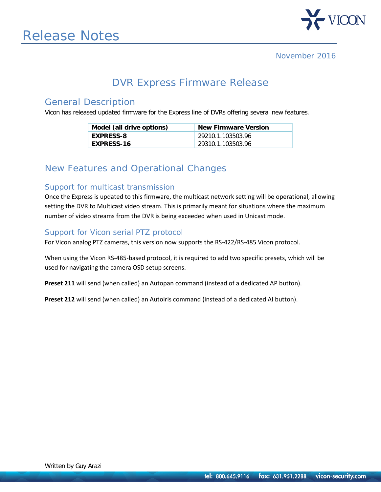

## DVR Express Firmware Release

### General Description

Vicon has released updated firmware for the Express line of DVRs offering several new features.

| Model (all drive options) | <b>New Firmware Version</b> |
|---------------------------|-----------------------------|
| <b>EXPRESS-8</b>          | 29210.1.103503.96           |
| <b>EXPRESS-16</b>         | 29310.1.103503.96           |

## New Features and Operational Changes

#### Support for multicast transmission

Once the Express is updated to this firmware, the multicast network setting will be operational, allowing setting the DVR to Multicast video stream. This is primarily meant for situations where the maximum number of video streams from the DVR is being exceeded when used in Unicast mode.

#### Support for Vicon serial PTZ protocol

For Vicon analog PTZ cameras, this version now supports the RS-422/RS-485 Vicon protocol.

When using the Vicon RS-485-based protocol, it is required to add two specific presets, which will be used for navigating the camera OSD setup screens.

**Preset 211** will send (when called) an Autopan command (instead of a dedicated AP button).

**Preset 212** will send (when called) an Autoiris command (instead of a dedicated AI button).